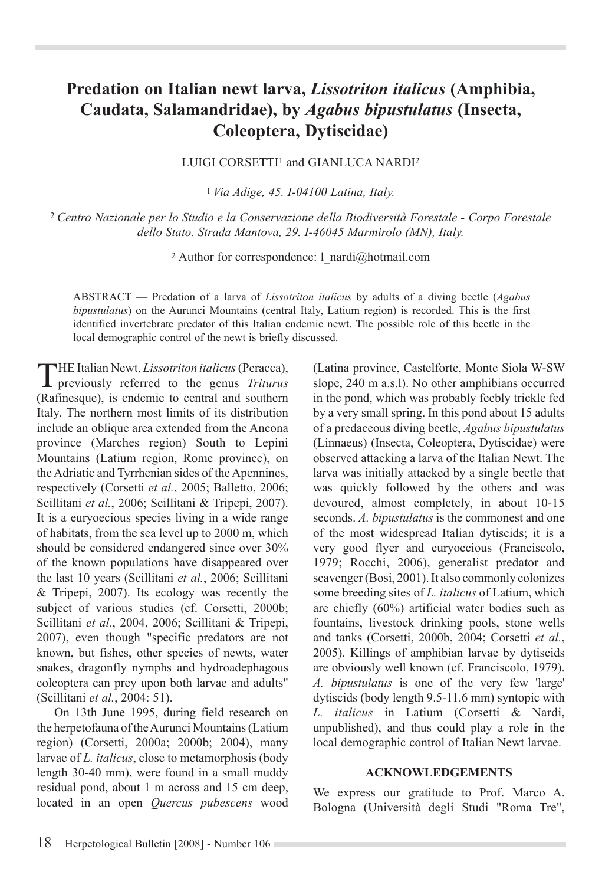## **Predation on Italian newt larva,** *Lissotriton italicus* **(Amphibia, Caudata, Salamandridae), by** *Agabus bipustulatus* **(Insecta, Coleoptera, Dytiscidae)**

LUIGI CORSETTI<sup>1</sup> and GIANLUCA NARDI<sup>2</sup>

<sup>1</sup>*Via Adige, 45. I-04100 Latina, Italy.* 

<sup>2</sup>*Centro Nazionale per lo Studio e la Conservazione della Biodiversità Forestale - Corpo Forestale dello Stato. Strada Mantova, 29. I-46045 Marmirolo (MN), Italy.* 

2 Author for correspondence: l\_nardi@hotmail.com

ABSTRACT — Predation of a larva of *Lissotriton italicus* by adults of a diving beetle (*Agabus bipustulatus*) on the Aurunci Mountains (central Italy, Latium region) is recorded. This is the first identified invertebrate predator of this Italian endemic newt. The possible role of this beetle in the local demographic control of the newt is briefly discussed.

THE Italian Newt, *Lissotriton italicus* (Peracca), previously referred to the genus *Triturus* (Rafinesque), is endemic to central and southern Italy. The northern most limits of its distribution include an oblique area extended from the Ancona province (Marches region) South to Lepini Mountains (Latium region, Rome province), on the Adriatic and Tyrrhenian sides of the Apennines, respectively (Corsetti *et al.*, 2005; Balletto, 2006; Scillitani *et al.*, 2006; Scillitani & Tripepi, 2007). It is a euryoecious species living in a wide range of habitats, from the sea level up to 2000 m, which should be considered endangered since over 30% of the known populations have disappeared over the last 10 years (Scillitani *et al.*, 2006; Scillitani & Tripepi, 2007). Its ecology was recently the subject of various studies (cf. Corsetti, 2000b; Scillitani *et al.*, 2004, 2006; Scillitani & Tripepi, 2007), even though "specific predators are not known, but fishes, other species of newts, water snakes, dragonfly nymphs and hydroadephagous coleoptera can prey upon both larvae and adults" (Scillitani *et al.*, 2004: 51).

On 13th June 1995, during field research on the herpetofauna of the Aurunci Mountains (Latium region) (Corsetti, 2000a; 2000b; 2004), many larvae of *L. italicus*, close to metamorphosis (body length 30-40 mm), were found in a small muddy residual pond, about 1 m across and 15 cm deep, located in an open *Quercus pubescens* wood

(Latina province, Castelforte, Monte Siola W-SW slope, 240 m a.s.l). No other amphibians occurred in the pond, which was probably feebly trickle fed by a very small spring. In this pond about 15 adults of a predaceous diving beetle, *Agabus bipustulatus*  (Linnaeus) (Insecta, Coleoptera, Dytiscidae) were observed attacking a larva of the Italian Newt. The larva was initially attacked by a single beetle that was quickly followed by the others and was devoured, almost completely, in about 10-15 seconds. *A. bipustulatus* is the commonest and one of the most widespread Italian dytiscids; it is a very good flyer and euryoecious (Franciscolo, 1979; Rocchi, 2006), generalist predator and scavenger (Bosi, 2001). It also commonly colonizes some breeding sites of *L. italicus* of Latium, which are chiefly (60%) artificial water bodies such as fountains, livestock drinking pools, stone wells and tanks (Corsetti, 2000b, 2004; Corsetti *et al.*, 2005). Killings of amphibian larvae by dytiscids are obviously well known (cf. Franciscolo, 1979). *A. bipustulatus* is one of the very few 'large' dytiscids (body length 9.5-11.6 mm) syntopic with *L. italicus* in Latium (Corsetti & Nardi, unpublished), and thus could play a role in the local demographic control of Italian Newt larvae.

## **ACKNOWLEDGEMENTS**

We express our gratitude to Prof. Marco A. Bologna (Università degli Studi "Roma Tre",